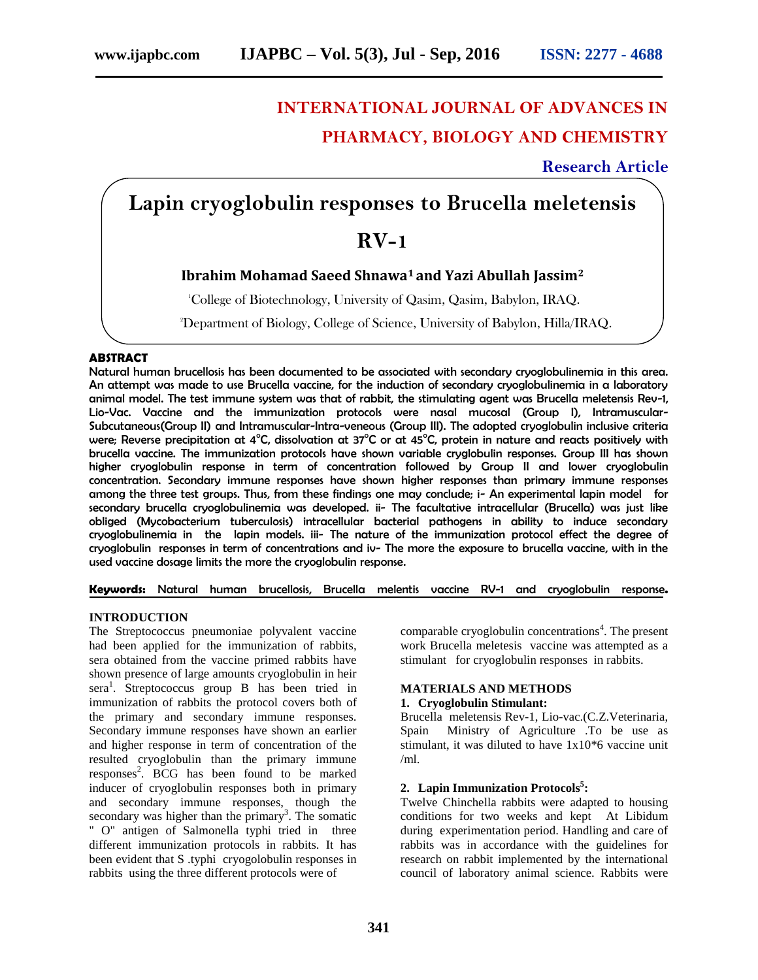# **INTERNATIONAL JOURNAL OF ADVANCES IN PHARMACY, BIOLOGY AND CHEMISTRY**

**Research Article**

# **Lapin cryoglobulin responses to Brucella meletensis**

# **RV-1**

# **Ibrahim Mohamad Saeed Shnawa<sup>1</sup> and Yazi Abullah Jassim<sup>2</sup>**

<sup>1</sup>College of Biotechnology, University of Qasim, Qasim, Babylon, IRAQ.

<sup>2</sup>Department of Biology, College of Science, University of Babylon, Hilla/IRAQ.

# **ABSTRACT**

Natural human brucellosis has been documented to be associated with secondary cryoglobulinemia in this area. An attempt was made to use Brucella vaccine, for the induction of secondary cryoglobulinemia in a laboratory animal model. The test immune system was that of rabbit, the stimulating agent was Brucella meletensis Rev-1, Lio-Vac. Vaccine and the immunization protocols were nasal mucosal (Group I), Intramuscular- Subcutaneous(Group II) and Intramuscular-Intra-veneous (Group III). The adopted cryoglobulin inclusive criteria were; Reverse precipitation at 4°C, dissolvation at  $37^{\circ}$ C or at  $45^{\circ}$ C, protein in nature and reacts positively with brucella vaccine. The immunization protocols have shown variable cryglobulin responses. Group III has shown higher cryoglobulin response in term of concentration followed by Group II and lower cryoglobulin concentration. Secondary immune responses have shown higher responses than primary immune responses among the three test groups. Thus, from these findings one may conclude; i- An experimental lapin model for secondary brucella cryoglobulinemia was developed. ii- The facultative intracellular (Brucella) was just like obliged (Mycobacterium tuberculosis) intracellular bacterial pathogens in ability to induce secondary cryoglobulinemia in the lapin models. iii- The nature of the immunization protocol effect the degree of cryoglobulin responses in term of concentrations and iv- The more the exposure to brucella vaccine, with in the used vaccine dosage limits the more the cryoglobulin response.

**Keywords:** Natural human brucellosis, Brucella melentis vaccine RV-1 and cryoglobulin response**.**

# **INTRODUCTION**

The Streptococcus pneumoniae polyvalent vaccine had been applied for the immunization of rabbits, sera obtained from the vaccine primed rabbits have shown presence of large amounts cryoglobulin in heir sera<sup>1</sup>. Streptococcus group B has been tried in immunization of rabbits the protocol covers both of the primary and secondary immune responses. Secondary immune responses have shown an earlier and higher response in term of concentration of the resulted cryoglobulin than the primary immune responses<sup>2</sup>. BCG has been found to be marked inducer of cryoglobulin responses both in primary and secondary immune responses, though the secondary was higher than the primary<sup>3</sup>. The somatic " O" antigen of Salmonella typhi tried in three different immunization protocols in rabbits. It has been evident that S .typhi cryogolobulin responses in rabbits using the three different protocols were of

comparable cryoglobulin concentrations<sup>4</sup>. The present work Brucella meletesis vaccine was attempted as a stimulant for cryoglobulin responses in rabbits.

# **MATERIALS AND METHODS**

#### **1. Cryoglobulin Stimulant:**

Brucella meletensis Rev-1, Lio-vac.(C.Z.Veterinaria, Spain Ministry of Agriculture .To be use as stimulant, it was diluted to have 1x10\*6 vaccine unit /ml.

# **2. Lapin Immunization Protocols<sup>5</sup>:**

Twelve Chinchella rabbits were adapted to housing conditions for two weeks and kept At Libidum during experimentation period. Handling and care of rabbits was in accordance with the guidelines for research on rabbit implemented by the international council of laboratory animal science. Rabbits were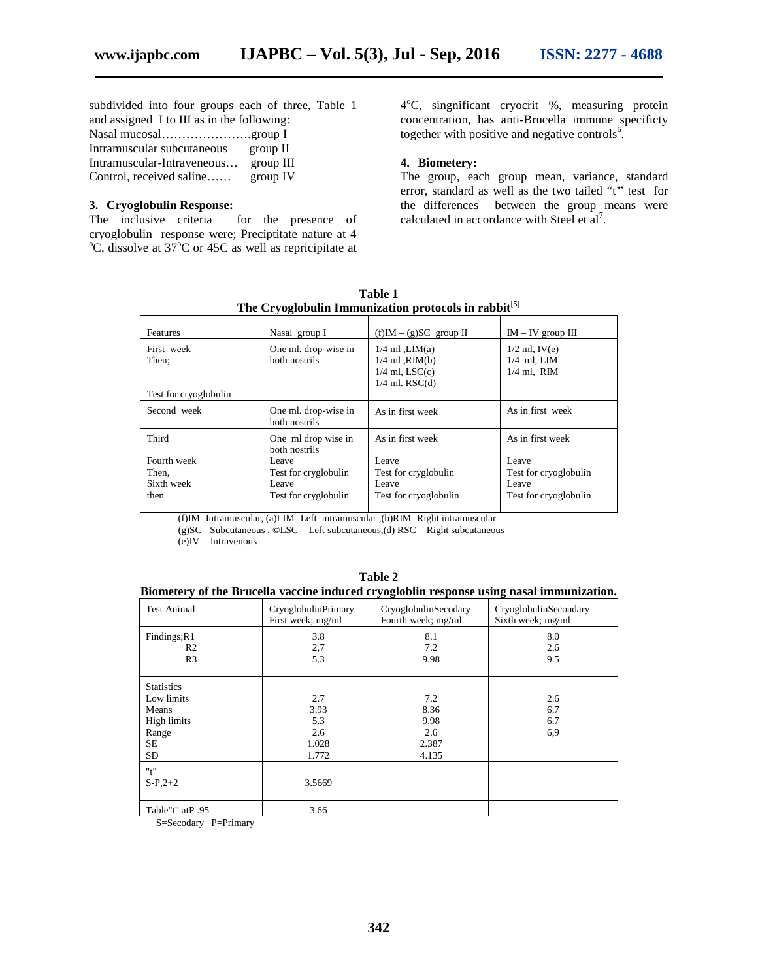subdivided into four groups each of three, Table 1 and assigned I to III as in the following:

| where woolgare $\alpha$ is to the word in the roll of this $\alpha$ |           |  |
|---------------------------------------------------------------------|-----------|--|
| Nasal mucosalgroup I                                                |           |  |
| Intramuscular subcutaneous                                          | group II  |  |
| Intramuscular-Intraveneous                                          | group III |  |
| Control, received saline                                            | group IV  |  |

# **3. Cryoglobulin Response:**

The inclusive criteria for the presence of cryoglobulin response were; Preciptitate nature at 4  $\rm{^{\circ}C}$ , dissolve at 37 $\rm{^{\circ}C}$  or 45C as well as repricipitate at

4 <sup>o</sup>C, singnificant cryocrit %, measuring protein concentration, has anti-Brucella immune specificty together with positive and negative controls $6$ .

### **4. Biometery:**

The group, each group mean, variance, standard error, standard as well as the two tailed "t" test for the differences between the group means were calculated in accordance with Steel et  $al^7$ .

**The Cryoglobulin Immunization protocols in rabbit[5]** Features Nasal group I (f)IM – (g)SC group II IM – IV group III First week Then; Test for cryoglobulin One ml. drop-wise in both nostrils  $1/4$  ml , LIM $(a)$ 1/4 ml ,RIM(b)  $1/4$  ml, LSC(c) 1/4 ml. RSC(d) 1/2 ml, IV(e) 1/4 ml, LIM 1/4 ml, RIM Second week One ml. drop-wise in both nostrils As in first week <br>As in first week Third Fourth week Then, Sixth week then One ml drop wise in both nostrils Leave Test for cryglobulin Leave Test for cryglobulin As in first week Leave Test for cryglobulin Leave Test for cryoglobulin As in first week Leave Test for cryoglobulin Leave Test for cryoglobulin

**Table 1**

(f)IM=Intramuscular, (a)LIM=Left intramuscular ,(b)RIM=Right intramuscular

(g)SC= Subcutaneous , ©LSC = Left subcutaneous,(d) RSC = Right subcutaneous

 $(e)$ IV = Intravenous

#### **Biometery of the Brucella vaccine induced cryogloblin response using nasal immunization.**

| <b>Test Animal</b>            | CryoglobulinPrimary<br>First week; mg/ml | CryoglobulinSecodary<br>Fourth week; mg/ml | CryoglobulinSecondary<br>Sixth week; mg/ml |
|-------------------------------|------------------------------------------|--------------------------------------------|--------------------------------------------|
| Findings;R1<br>R <sub>2</sub> | 3.8<br>2,7                               | 8.1<br>7.2                                 | 8.0<br>2.6                                 |
| R <sub>3</sub>                | 5.3                                      | 9.98                                       | 9.5                                        |
| <b>Statistics</b>             |                                          |                                            |                                            |
| Low limits                    | 2.7                                      | 7.2                                        | 2.6                                        |
| Means                         | 3.93                                     | 8.36                                       | 6.7                                        |
| High limits                   | 5.3                                      | 9,98                                       | 6.7                                        |
| Range                         | 2.6                                      | 2.6                                        | 6.9                                        |
| <b>SE</b>                     | 1.028                                    | 2.387                                      |                                            |
| <b>SD</b>                     | 1.772                                    | 4.135                                      |                                            |
| "t"                           |                                          |                                            |                                            |
| $S-P,2+2$                     | 3.5669                                   |                                            |                                            |
| Table"t" atP.95               | 3.66                                     |                                            |                                            |

S=Secodary P=Primary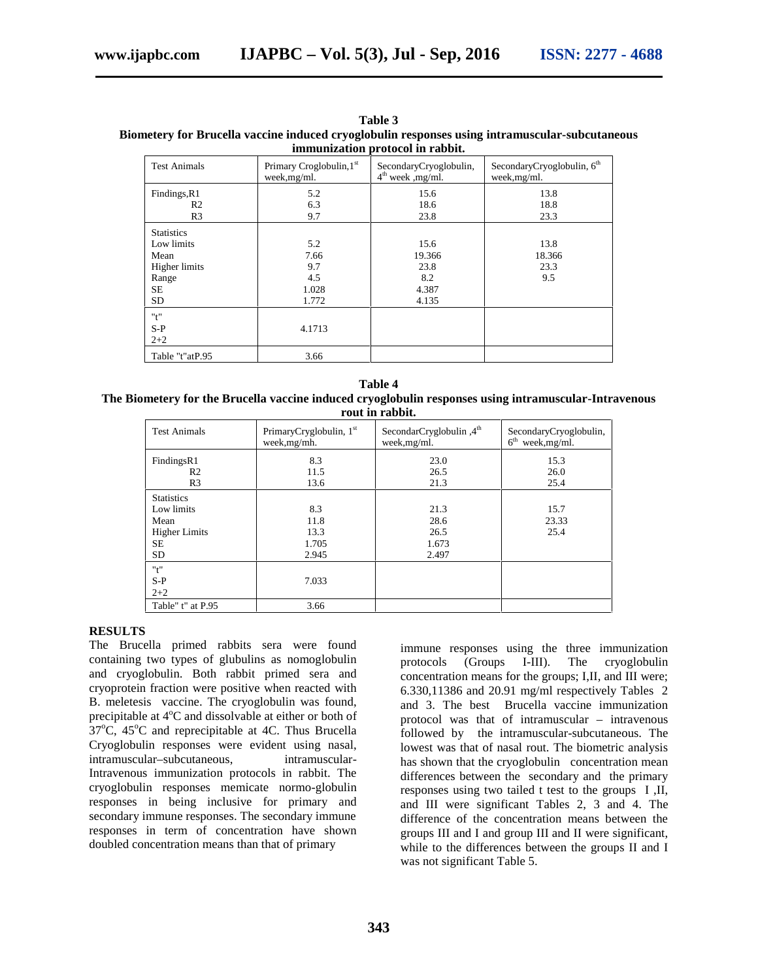| Inimumzation protocol in Fabbit. |                                          |                                               |                                                        |
|----------------------------------|------------------------------------------|-----------------------------------------------|--------------------------------------------------------|
| <b>Test Animals</b>              | Primary Croglobulin, 1st<br>week, mg/ml. | SecondaryCryoglobulin,<br>$4th$ week , mg/ml. | SecondaryCryoglobulin, 6 <sup>th</sup><br>week, mg/ml. |
| Findings, R1                     | 5.2                                      | 15.6                                          | 13.8                                                   |
| R <sub>2</sub>                   | 6.3                                      | 18.6                                          | 18.8                                                   |
| R <sub>3</sub>                   | 9.7                                      | 23.8                                          | 23.3                                                   |
| <b>Statistics</b>                |                                          |                                               |                                                        |
| Low limits                       | 5.2                                      | 15.6                                          | 13.8                                                   |
| Mean                             | 7.66                                     | 19.366                                        | 18.366                                                 |
| Higher limits                    | 9.7                                      | 23.8                                          | 23.3                                                   |
| Range                            | 4.5                                      | 8.2                                           | 9.5                                                    |
| SE.                              | 1.028                                    | 4.387                                         |                                                        |
| <b>SD</b>                        | 1.772                                    | 4.135                                         |                                                        |
| "t"                              |                                          |                                               |                                                        |
| $S-P$                            | 4.1713                                   |                                               |                                                        |
| $2 + 2$                          |                                          |                                               |                                                        |
| Table "t"atP.95                  | 3.66                                     |                                               |                                                        |

**Table 3 Biometery for Brucella vaccine induced cryoglobulin responses using intramuscular-subcutaneous immunization protocol in rabbit.**

**Table 4 The Biometery for the Brucella vaccine induced cryoglobulin responses using intramuscular-Intravenous rout in rabbit.**

| <b>Test Animals</b>  | PrimaryCryglobulin, 1 <sup>st</sup><br>week, mg/mh. | SecondarCryglobulin, 4 <sup>th</sup><br>week, mg/ml. | SecondaryCryoglobulin,<br>6 <sup>th</sup><br>week, mg/ml. |
|----------------------|-----------------------------------------------------|------------------------------------------------------|-----------------------------------------------------------|
| FindingsR1           | 8.3                                                 | 23.0                                                 | 15.3                                                      |
| R <sub>2</sub>       | 11.5                                                | 26.5                                                 | 26.0                                                      |
| R <sub>3</sub>       | 13.6                                                | 21.3                                                 | 25.4                                                      |
| <b>Statistics</b>    |                                                     |                                                      |                                                           |
| Low limits           | 8.3                                                 | 21.3                                                 | 15.7                                                      |
| Mean                 | 11.8                                                | 28.6                                                 | 23.33                                                     |
| <b>Higher Limits</b> | 13.3                                                | 26.5                                                 | 25.4                                                      |
| <b>SE</b>            | 1.705                                               | 1.673                                                |                                                           |
| <b>SD</b>            | 2.945                                               | 2.497                                                |                                                           |
| "t"                  |                                                     |                                                      |                                                           |
| $S-P$                | 7.033                                               |                                                      |                                                           |
| $2 + 2$              |                                                     |                                                      |                                                           |
| Table" t" at P.95    | 3.66                                                |                                                      |                                                           |

#### **RESULTS**

The Brucella primed rabbits sera were found containing two types of glubulins as nomoglobulin and cryoglobulin. Both rabbit primed sera and cryoprotein fraction were positive when reacted with B. meletesis vaccine. The cryoglobulin was found, precipitable at  $4^{\circ}$ C and dissolvable at either or both of  $37^{\circ}$ C,  $45^{\circ}$ C and reprecipitable at 4C. Thus Brucella Cryoglobulin responses were evident using nasal, intramuscular–subcutaneous, intramuscular-Intravenous immunization protocols in rabbit. The cryoglobulin responses memicate normo-globulin responses in being inclusive for primary and secondary immune responses. The secondary immune responses in term of concentration have shown doubled concentration means than that of primary

immune responses using the three immunization (Groups I-III). The cryoglobulin concentration means for the groups; I,II, and III were; 6.330,11386 and 20.91 mg/ml respectively Tables 2 and 3. The best Brucella vaccine immunization protocol was that of intramuscular – intravenous followed by the intramuscular-subcutaneous. The lowest was that of nasal rout. The biometric analysis has shown that the cryoglobulin concentration mean differences between the secondary and the primary responses using two tailed t test to the groups I ,II, and III were significant Tables 2, 3 and 4. The difference of the concentration means between the groups III and I and group III and II were significant, while to the differences between the groups II and I was not significant Table 5.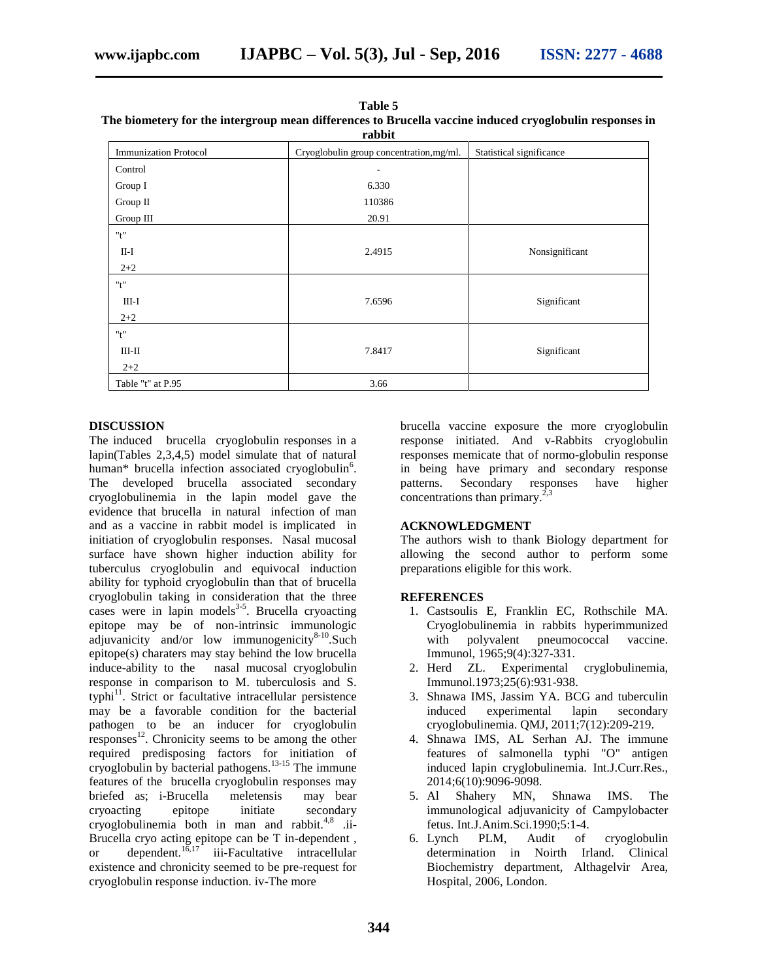| The official proposition in the company means and choice to between vacantemental of optional responses to<br>rabbit |                                          |                          |  |
|----------------------------------------------------------------------------------------------------------------------|------------------------------------------|--------------------------|--|
| <b>Immunization Protocol</b>                                                                                         | Cryoglobulin group concentration, mg/ml. | Statistical significance |  |
| Control                                                                                                              | ٠                                        |                          |  |
| Group I                                                                                                              | 6.330                                    |                          |  |
| Group II                                                                                                             | 110386                                   |                          |  |
| Group III                                                                                                            | 20.91                                    |                          |  |
| "t"                                                                                                                  |                                          |                          |  |
| $II-I$                                                                                                               | 2.4915                                   | Nonsignificant           |  |
| $2 + 2$                                                                                                              |                                          |                          |  |
| "t"                                                                                                                  |                                          |                          |  |
| $III-I$                                                                                                              | 7.6596                                   | Significant              |  |
| $2 + 2$                                                                                                              |                                          |                          |  |
| "t"                                                                                                                  |                                          |                          |  |
| $III - II$                                                                                                           | 7.8417                                   | Significant              |  |
| $2 + 2$                                                                                                              |                                          |                          |  |
| Table "t" at P.95                                                                                                    | 3.66                                     |                          |  |

**Table 5 The biometery for the intergroup mean differences to Brucella vaccine induced cryoglobulin responses in**

#### **DISCUSSION**

The induced brucella cryoglobulin responses in a lapin(Tables 2,3,4,5) model simulate that of natural human\* brucella infection associated cryoglobulin<sup>6</sup>. The developed brucella associated secondary patterns. cryoglobulinemia in the lapin model gave the evidence that brucella in natural infection of man and as a vaccine in rabbit model is implicated in initiation of cryoglobulin responses. Nasal mucosal surface have shown higher induction ability for tuberculus cryoglobulin and equivocal induction ability for typhoid cryoglobulin than that of brucella cryoglobulin taking in consideration that the three cases were in lapin models $3-5$ . Brucella cryoacting epitope may be of non-intrinsic immunologic adjuvanicity and/or low immunogenicity $8-10$ . Such epitope(s) charaters may stay behind the low brucella induce-ability to the nasal mucosal cryoglobulin response in comparison to M. tuberculosis and S. typhi<sup>11</sup>. Strict or facultative intracellular persistence may be a favorable condition for the bacterial pathogen to be an inducer for cryoglobulin  $r_{\rm{exponents}}^{12}$ . Chronicity seems to be among the other required predisposing factors for initiation of cryoglobulin by bacterial pathogens.13-15 The immune features of the brucella cryoglobulin responses may briefed as; i-Brucella meletensis may bear cryoacting epitope initiate secondary cryoglobulinemia both in man and rabbit. $4,8$  .ii-Brucella cryo acting epitope can be T in-dependent , or dependent. $1\overline{6}$ ,17<sup> $\overline{1}$ </sup> iii-Facultative intracellular existence and chronicity seemed to be pre-request for cryoglobulin response induction. iv-The more

brucella vaccine exposure the more cryoglobulin response initiated. And v-Rabbits cryoglobulin responses memicate that of normo-globulin response in being have primary and secondary response Secondary responses have higher concentrations than primary.<sup>2</sup>

#### **ACKNOWLEDGMENT**

The authors wish to thank Biology department for allowing the second author to perform some preparations eligible for this work.

#### **REFERENCES**

- 1. Castsoulis E, Franklin EC, Rothschile MA. Cryoglobulinemia in rabbits hyperimmunized with polyvalent pneumococcal vaccine. Immunol, 1965;9(4):327-331.
- 2. Herd ZL. Experimental cryglobulinemia, Immunol.1973;25(6):931-938.
- 3. Shnawa IMS, Jassim YA. BCG and tuberculin induced experimental lapin secondary cryoglobulinemia. QMJ, 2011;7(12):209-219.
- 4. Shnawa IMS, AL Serhan AJ. The immune features of salmonella typhi "O" antigen induced lapin cryglobulinemia. Int.J.Curr.Res., 2014;6(10):9096-9098.
- 5. Al Shahery MN, Shnawa IMS. The immunological adjuvanicity of Campylobacter fetus. Int.J.Anim.Sci.1990;5:1-4.<br>6. Lynch PLM, Audit of
- PLM, Audit of cryoglobulin determination in Noirth Irland. Clinical Biochemistry department, Althagelvir Area, Hospital, 2006, London.